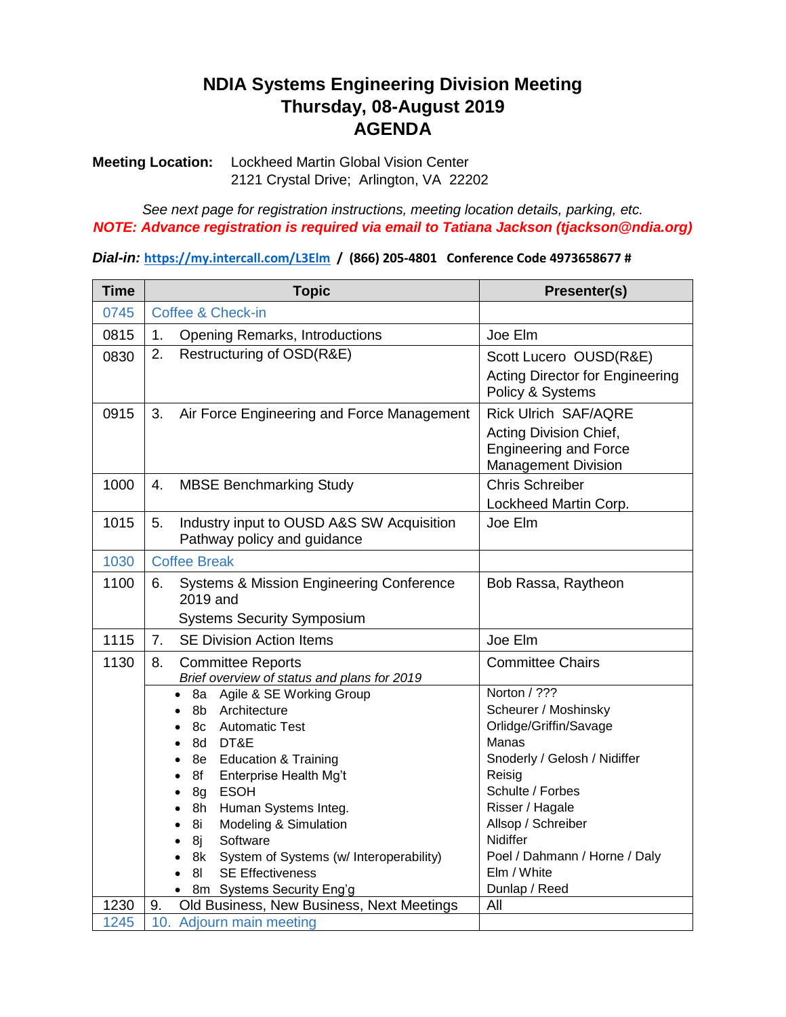## **NDIA Systems Engineering Division Meeting Thursday, 08-August 2019 AGENDA**

**Meeting Location:** Lockheed Martin Global Vision Center 2121 Crystal Drive; Arlington, VA 22202

*See next page for registration instructions, meeting location details, parking, etc. NOTE: Advance registration is required via email to Tatiana Jackson (tjackson@ndia.org)*

*Dial-in:* **<https://my.intercall.com/L3Elm>/ (866) 205-4801 Conference Code 4973658677 #**

| <b>Time</b> | <b>Topic</b>                                                                                                                                                                                                                                                                                                                                                                                              | Presenter(s)                                                                                                                                                                                                                                                |  |
|-------------|-----------------------------------------------------------------------------------------------------------------------------------------------------------------------------------------------------------------------------------------------------------------------------------------------------------------------------------------------------------------------------------------------------------|-------------------------------------------------------------------------------------------------------------------------------------------------------------------------------------------------------------------------------------------------------------|--|
| 0745        | Coffee & Check-in                                                                                                                                                                                                                                                                                                                                                                                         |                                                                                                                                                                                                                                                             |  |
| 0815        | 1.<br><b>Opening Remarks, Introductions</b>                                                                                                                                                                                                                                                                                                                                                               | Joe Elm                                                                                                                                                                                                                                                     |  |
| 0830        | Restructuring of OSD(R&E)<br>2.                                                                                                                                                                                                                                                                                                                                                                           | Scott Lucero OUSD(R&E)<br><b>Acting Director for Engineering</b><br>Policy & Systems                                                                                                                                                                        |  |
| 0915        | 3.<br>Air Force Engineering and Force Management                                                                                                                                                                                                                                                                                                                                                          | <b>Rick Ulrich SAF/AQRE</b><br>Acting Division Chief,<br><b>Engineering and Force</b><br><b>Management Division</b>                                                                                                                                         |  |
| 1000        | 4.<br><b>MBSE Benchmarking Study</b>                                                                                                                                                                                                                                                                                                                                                                      | <b>Chris Schreiber</b><br>Lockheed Martin Corp.                                                                                                                                                                                                             |  |
| 1015        | Industry input to OUSD A&S SW Acquisition<br>5.<br>Pathway policy and guidance                                                                                                                                                                                                                                                                                                                            | Joe Elm                                                                                                                                                                                                                                                     |  |
| 1030        | <b>Coffee Break</b>                                                                                                                                                                                                                                                                                                                                                                                       |                                                                                                                                                                                                                                                             |  |
| 1100        | <b>Systems &amp; Mission Engineering Conference</b><br>6.<br>2019 and<br><b>Systems Security Symposium</b>                                                                                                                                                                                                                                                                                                | Bob Rassa, Raytheon                                                                                                                                                                                                                                         |  |
| 1115        | <b>SE Division Action Items</b><br>7.                                                                                                                                                                                                                                                                                                                                                                     | Joe Elm                                                                                                                                                                                                                                                     |  |
| 1130        | 8.<br><b>Committee Reports</b><br>Brief overview of status and plans for 2019                                                                                                                                                                                                                                                                                                                             | <b>Committee Chairs</b>                                                                                                                                                                                                                                     |  |
|             | 8a Agile & SE Working Group<br>$\bullet$<br>Architecture<br>8b<br><b>Automatic Test</b><br>8c<br>DT&E<br>8d<br><b>Education &amp; Training</b><br>8e l<br>Enterprise Health Mg't<br>8f<br><b>ESOH</b><br>8g<br>Human Systems Integ.<br>8h<br>Modeling & Simulation<br>8i<br>Software<br>8j<br>8k<br>System of Systems (w/ Interoperability)<br><b>SE Effectiveness</b><br>81<br>8m Systems Security Eng'g | Norton / ???<br>Scheurer / Moshinsky<br>Orlidge/Griffin/Savage<br>Manas<br>Snoderly / Gelosh / Nidiffer<br>Reisig<br>Schulte / Forbes<br>Risser / Hagale<br>Allsop / Schreiber<br>Nidiffer<br>Poel / Dahmann / Horne / Daly<br>Elm / White<br>Dunlap / Reed |  |
| 1230        | Old Business, New Business, Next Meetings<br>9.                                                                                                                                                                                                                                                                                                                                                           | All                                                                                                                                                                                                                                                         |  |
| 1245        | 10. Adjourn main meeting                                                                                                                                                                                                                                                                                                                                                                                  |                                                                                                                                                                                                                                                             |  |